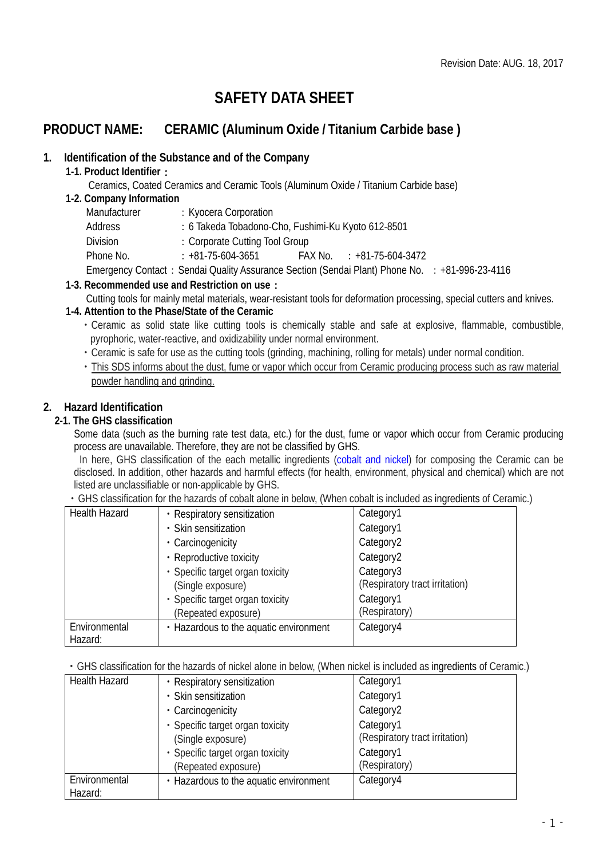# **SAFETY DATA SHEET**

## **PRODUCT NAME: CERAMIC (Aluminum Oxide / Titanium Carbide base )**

## **1. Identification of the Substance and of the Company**

## **1-1. Product Identifier**:

Ceramics, Coated Ceramics and Ceramic Tools (Aluminum Oxide / Titanium Carbide base)

#### **1-2. Company Information**

| Manufacturer    | : Kyocera Corporation                                                                          |                                      |  |
|-----------------|------------------------------------------------------------------------------------------------|--------------------------------------|--|
| Address         | : 6 Takeda Tobadono-Cho, Fushimi-Ku Kyoto 612-8501                                             |                                      |  |
| <b>Division</b> | : Corporate Cutting Tool Group                                                                 |                                      |  |
| Phone No.       | $: +81 - 75 - 604 - 3651$                                                                      | $FAX$ No. $\qquad$ : +81-75-604-3472 |  |
|                 | Emergency Contact: Sendai Quality Assurance Section (Sendai Plant) Phone No. : +81-996-23-4116 |                                      |  |

## **1-3. Recommended use and Restriction on use**:

Cutting tools for mainly metal materials, wear-resistant tools for deformation processing, special cutters and knives.

## **1-4. Attention to the Phase/State of the Ceramic**

- ・Ceramic as solid state like cutting tools is chemically stable and safe at explosive, flammable, combustible, pyrophoric, water-reactive, and oxidizability under normal environment.
- ・Ceramic is safe for use as the cutting tools (grinding, machining, rolling for metals) under normal condition.
- This SDS informs about the dust, fume or vapor which occur from Ceramic producing process such as raw material powder handling and grinding.

## **2. Hazard Identification**

## **2-1. The GHS classification**

Some data (such as the burning rate test data, etc.) for the dust, fume or vapor which occur from Ceramic producing process are unavailable. Therefore, they are not be classified by GHS.

In here, GHS classification of the each metallic ingredients (cobalt and nickel) for composing the Ceramic can be disclosed. In addition, other hazards and harmful effects (for health, environment, physical and chemical) which are not listed are unclassifiable or non-applicable by GHS.

・GHS classification for the hazards of cobalt alone in below, (When cobalt is included as ingredients of Ceramic.)

| <b>Health Hazard</b> | • Respiratory sensitization            | Category1                      |
|----------------------|----------------------------------------|--------------------------------|
|                      | · Skin sensitization                   | Category1                      |
|                      | • Carcinogenicity                      | Category2                      |
|                      | • Reproductive toxicity                | Category2                      |
|                      | • Specific target organ toxicity       | Category3                      |
|                      | (Single exposure)                      | (Respiratory tract irritation) |
|                      | · Specific target organ toxicity       | Category1                      |
|                      | (Repeated exposure)                    | (Respiratory)                  |
| Environmental        | • Hazardous to the aquatic environment | Category4                      |
| Hazard:              |                                        |                                |

・GHS classification for the hazards of nickel alone in below, (When nickel is included as ingredients of Ceramic.)

| <b>Health Hazard</b> | • Respiratory sensitization            | Category1                      |
|----------------------|----------------------------------------|--------------------------------|
|                      | · Skin sensitization                   | Category1                      |
|                      | • Carcinogenicity                      | Category <sub>2</sub>          |
|                      | • Specific target organ toxicity       | Category1                      |
|                      | (Single exposure)                      | (Respiratory tract irritation) |
|                      | · Specific target organ toxicity       | Category1                      |
|                      | (Repeated exposure)                    | (Respiratory)                  |
| Environmental        | • Hazardous to the aquatic environment | Category4                      |
| Hazard:              |                                        |                                |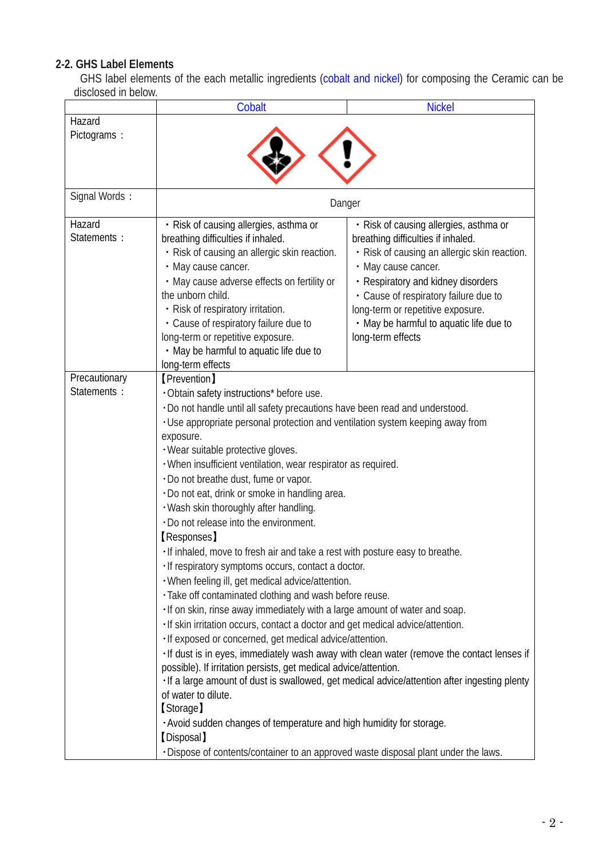## **2-2. GHS Label Elements**

GHS label elements of the each metallic ingredients (cobalt and nickel) for composing the Ceramic can be disclosed in below.

| Cobalt                                                                                                                                                                                                                                                                                                                                                                                                                                                                                                                                                                                                                                                                                                                                                                                                                                                                                                                                                                                                                                                                                                                                                                                                                                                                                                                                                                                                                   | <b>Nickel</b>                                                                                                                                                                                                                                                                                                                           |  |
|--------------------------------------------------------------------------------------------------------------------------------------------------------------------------------------------------------------------------------------------------------------------------------------------------------------------------------------------------------------------------------------------------------------------------------------------------------------------------------------------------------------------------------------------------------------------------------------------------------------------------------------------------------------------------------------------------------------------------------------------------------------------------------------------------------------------------------------------------------------------------------------------------------------------------------------------------------------------------------------------------------------------------------------------------------------------------------------------------------------------------------------------------------------------------------------------------------------------------------------------------------------------------------------------------------------------------------------------------------------------------------------------------------------------------|-----------------------------------------------------------------------------------------------------------------------------------------------------------------------------------------------------------------------------------------------------------------------------------------------------------------------------------------|--|
|                                                                                                                                                                                                                                                                                                                                                                                                                                                                                                                                                                                                                                                                                                                                                                                                                                                                                                                                                                                                                                                                                                                                                                                                                                                                                                                                                                                                                          |                                                                                                                                                                                                                                                                                                                                         |  |
| Danger                                                                                                                                                                                                                                                                                                                                                                                                                                                                                                                                                                                                                                                                                                                                                                                                                                                                                                                                                                                                                                                                                                                                                                                                                                                                                                                                                                                                                   |                                                                                                                                                                                                                                                                                                                                         |  |
| • Risk of causing allergies, asthma or<br>breathing difficulties if inhaled.<br>· Risk of causing an allergic skin reaction.<br>• May cause cancer.<br>• May cause adverse effects on fertility or<br>the unborn child.<br>· Risk of respiratory irritation.<br>• Cause of respiratory failure due to<br>long-term or repetitive exposure.<br>• May be harmful to aquatic life due to                                                                                                                                                                                                                                                                                                                                                                                                                                                                                                                                                                                                                                                                                                                                                                                                                                                                                                                                                                                                                                    | • Risk of causing allergies, asthma or<br>breathing difficulties if inhaled.<br>• Risk of causing an allergic skin reaction.<br>• May cause cancer.<br>• Respiratory and kidney disorders<br>• Cause of respiratory failure due to<br>long-term or repetitive exposure.<br>• May be harmful to aquatic life due to<br>long-term effects |  |
| [Prevention]<br>. Obtain safety instructions* before use.<br>. Do not handle until all safety precautions have been read and understood.<br>· Use appropriate personal protection and ventilation system keeping away from<br>exposure.<br>· Wear suitable protective gloves.<br>· When insufficient ventilation, wear respirator as required.<br>. Do not breathe dust, fume or vapor.<br>· Do not eat, drink or smoke in handling area.<br>. Wash skin thoroughly after handling.<br>. Do not release into the environment.<br><b>[Responses]</b><br>. If inhaled, move to fresh air and take a rest with posture easy to breathe.<br>· If respiratory symptoms occurs, contact a doctor.<br>. When feeling ill, get medical advice/attention.<br>· Take off contaminated clothing and wash before reuse.<br>· If on skin, rinse away immediately with a large amount of water and soap.<br>· If skin irritation occurs, contact a doctor and get medical advice/attention.<br>· If exposed or concerned, get medical advice/attention.<br>· If dust is in eyes, immediately wash away with clean water (remove the contact lenses if<br>possible). If irritation persists, get medical advice/attention.<br>· If a large amount of dust is swallowed, get medical advice/attention after ingesting plenty<br>of water to dilute.<br>[Storage]<br>. Avoid sudden changes of temperature and high humidity for storage. |                                                                                                                                                                                                                                                                                                                                         |  |
|                                                                                                                                                                                                                                                                                                                                                                                                                                                                                                                                                                                                                                                                                                                                                                                                                                                                                                                                                                                                                                                                                                                                                                                                                                                                                                                                                                                                                          | long-term effects<br>[Disposal]<br>. Dispose of contents/container to an approved waste disposal plant under the laws.                                                                                                                                                                                                                  |  |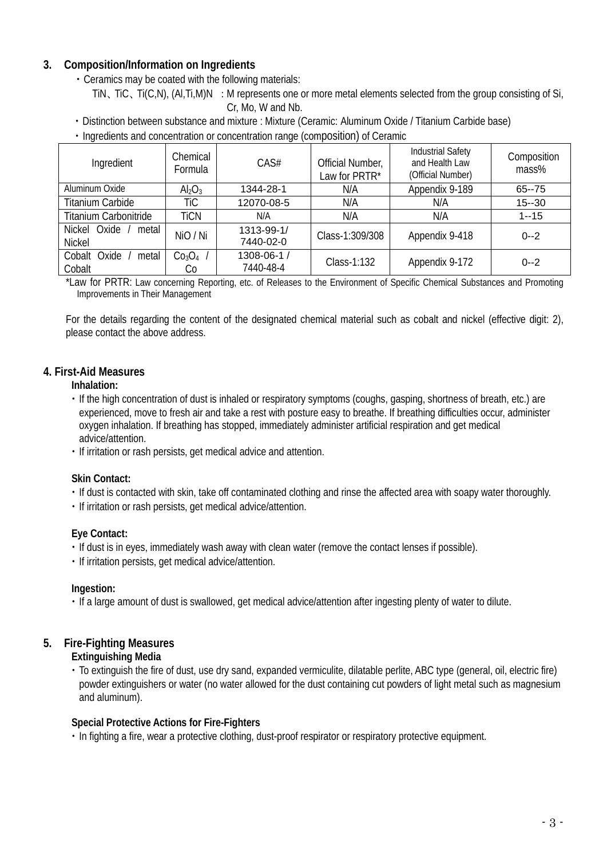## **3. Composition/Information on Ingredients**

- ・Ceramics may be coated with the following materials:
	- TiN, TiC, Ti(C,N), (Al,Ti,M)N : M represents one or more metal elements selected from the group consisting of Si, Cr, Mo, W and Nb.
- ・Distinction between substance and mixture : Mixture (Ceramic: Aluminum Oxide / Titanium Carbide base)
- ・Ingredients and concentration or concentration range (composition) of Ceramic

| Ingredient                             | Chemical<br>Formula                  | CAS#                     | Official Number,<br>Law for PRTR* | <b>Industrial Safety</b><br>and Health Law<br>(Official Number) | Composition<br>$mass\%$ |
|----------------------------------------|--------------------------------------|--------------------------|-----------------------------------|-----------------------------------------------------------------|-------------------------|
| Aluminum Oxide                         | Al <sub>2</sub> O <sub>3</sub>       | 1344-28-1                | N/A                               | Appendix 9-189                                                  | $65 - 75$               |
| <b>Titanium Carbide</b>                | TiC                                  | 12070-08-5               | N/A                               | N/A                                                             | $15 - 30$               |
| <b>Titanium Carbonitride</b>           | <b>TiCN</b>                          | N/A                      | N/A                               | N/A                                                             | $1 - 15$                |
| Nickel Oxide<br>metal<br><b>Nickel</b> | NiO / Ni                             | 1313-99-1/<br>7440-02-0  | Class-1:309/308                   | Appendix 9-418                                                  | $0 - 2$                 |
| Oxide<br>metal<br>Cobalt<br>Cobalt     | Co <sub>3</sub> O <sub>4</sub><br>Cо | 1308-06-1 /<br>7440-48-4 | Class-1:132                       | Appendix 9-172                                                  | $0 - 2$                 |

\*Law for PRTR: Law concerning Reporting, etc. of Releases to the Environment of Specific Chemical Substances and Promoting Improvements in Their Management

 For the details regarding the content of the designated chemical material such as cobalt and nickel (effective digit: 2), please contact the above address.

## **4. First-Aid Measures**

#### **Inhalation:**

- ・If the high concentration of dust is inhaled or respiratory symptoms (coughs, gasping, shortness of breath, etc.) are experienced, move to fresh air and take a rest with posture easy to breathe. If breathing difficulties occur, administer oxygen inhalation. If breathing has stopped, immediately administer artificial respiration and get medical advice/attention.
- ・If irritation or rash persists, get medical advice and attention.

## **Skin Contact:**

- ・If dust is contacted with skin, take off contaminated clothing and rinse the affected area with soapy water thoroughly.
- ・If irritation or rash persists, get medical advice/attention.

## **Eye Contact:**

- ・If dust is in eyes, immediately wash away with clean water (remove the contact lenses if possible).
- ・If irritation persists, get medical advice/attention.

## **Ingestion:**

・If a large amount of dust is swallowed, get medical advice/attention after ingesting plenty of water to dilute.

## **5. Fire-Fighting Measures**

## **Extinguishing Media**

・To extinguish the fire of dust, use dry sand, expanded vermiculite, dilatable perlite, ABC type (general, oil, electric fire) powder extinguishers or water (no water allowed for the dust containing cut powders of light metal such as magnesium and aluminum).

## **Special Protective Actions for Fire-Fighters**

・In fighting a fire, wear a protective clothing, dust-proof respirator or respiratory protective equipment.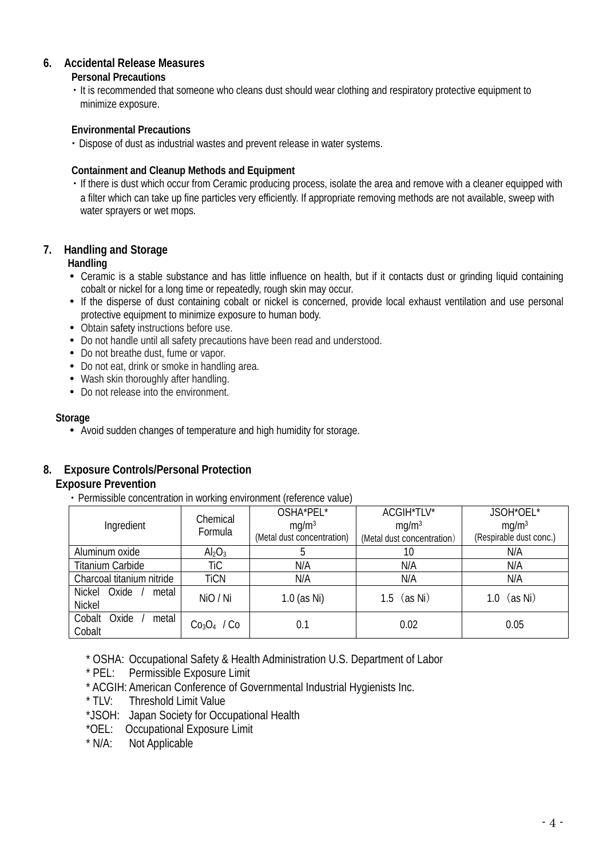## **6. Accidental Release Measures**

#### **Personal Precautions**

・It is recommended that someone who cleans dust should wear clothing and respiratory protective equipment to minimize exposure.

## **Environmental Precautions**

・Dispose of dust as industrial wastes and prevent release in water systems.

## **Containment and Cleanup Methods and Equipment**

・If there is dust which occur from Ceramic producing process, isolate the area and remove with a cleaner equipped with a filter which can take up fine particles very efficiently. If appropriate removing methods are not available, sweep with water sprayers or wet mops.

## **7. Handling and Storage**

## **Handling**

- Ceramic is a stable substance and has little influence on health, but if it contacts dust or grinding liquid containing cobalt or nickel for a long time or repeatedly, rough skin may occur.
- If the disperse of dust containing cobalt or nickel is concerned, provide local exhaust ventilation and use personal protective equipment to minimize exposure to human body.
- Obtain safety instructions before use.
- Do not handle until all safety precautions have been read and understood.
- Do not breathe dust, fume or vapor.
- Do not eat, drink or smoke in handling area.
- Wash skin thoroughly after handling.
- Do not release into the environment.

#### **Storage**

Avoid sudden changes of temperature and high humidity for storage.

## **8. Exposure Controls/Personal Protection**

## **Exposure Prevention**

・Permissible concentration in working environment (reference value)

|                                 | Chemical                | OSHA*PEL*                  | ACGIH*TLV*                 | JSOH*OEL*               |
|---------------------------------|-------------------------|----------------------------|----------------------------|-------------------------|
| Ingredient                      | Formula                 | mq/m <sup>3</sup>          | mq/m <sup>3</sup>          | mg/m <sup>3</sup>       |
|                                 |                         | (Metal dust concentration) | (Metal dust concentration) | (Respirable dust conc.) |
| Aluminum oxide                  | $\text{Al}_2\text{O}_3$ |                            | 10                         | N/A                     |
| <b>Titanium Carbide</b>         | TiC                     | N/A                        | N/A                        | N/A                     |
| Charcoal titanium nitride       | <b>TiCN</b>             | N/A                        | N/A                        | N/A                     |
| <b>Nickel</b><br>Oxide<br>metal | NiO / Ni                | $1.0$ (as Ni)              | 1.5 $(as Ni)$              | (as Ni)<br>1.0          |
| <b>Nickel</b>                   |                         |                            |                            |                         |
| Cobalt<br>Oxide<br>metal        | $Co3O4$ / Co            | 0.1                        | 0.02                       | 0.05                    |
| Cobalt                          |                         |                            |                            |                         |

\* OSHA: Occupational Safety & Health Administration U.S. Department of Labor

- \* PEL: Permissible Exposure Limit
- \* ACGIH: American Conference of Governmental Industrial Hygienists Inc.
- \* TLV: Threshold Limit Value
- \*JSOH: Japan Society for Occupational Health
- \*OEL: Occupational Exposure Limit<br>\* N/A: Not Applicable
- Not Applicable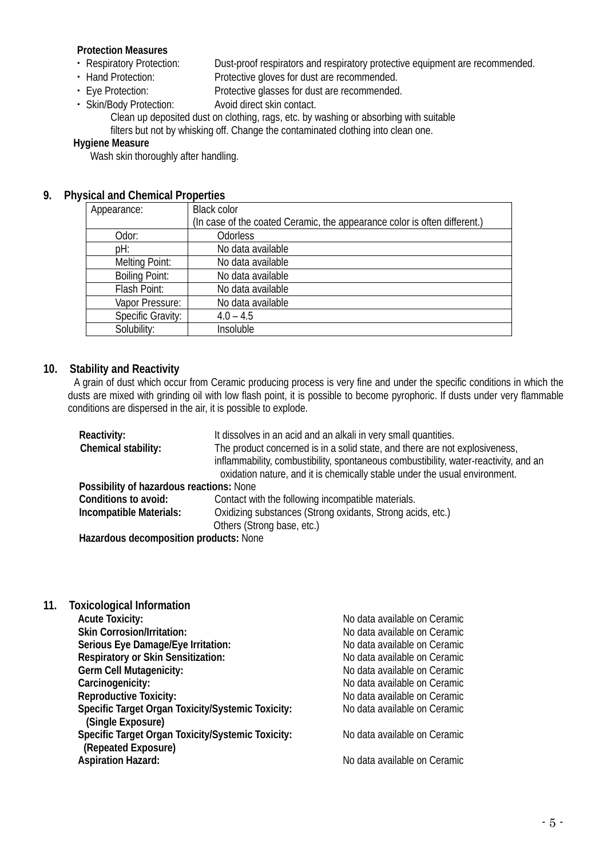#### **Protection Measures**

- 
- 

• Respiratory Protection: Dust-proof respirators and respiratory protective equipment are recommended.<br>• Hand Protection: Protective gloves for dust are recommended.

- Hand Protection: Protective gloves for dust are recommended.<br>• Eye Protection: Protective glasses for dust are recommended Protective glasses for dust are recommended.
- ・ Skin/Body Protection: Avoid direct skin contact.

Clean up deposited dust on clothing, rags, etc. by washing or absorbing with suitable filters but not by whisking off. Change the contaminated clothing into clean one.

#### **Hygiene Measure**

Wash skin thoroughly after handling.

## **9. Physical and Chemical Properties**

| Appearance:              | <b>Black color</b>                                                        |
|--------------------------|---------------------------------------------------------------------------|
|                          | (In case of the coated Ceramic, the appearance color is often different.) |
| Odor:                    | <b>Odorless</b>                                                           |
| pH:                      | No data available                                                         |
| Melting Point:           | No data available                                                         |
| <b>Boiling Point:</b>    | No data available                                                         |
| Flash Point:             | No data available                                                         |
| Vapor Pressure:          | No data available                                                         |
| <b>Specific Gravity:</b> | $4.0 - 4.5$                                                               |
| Solubility:              | Insoluble                                                                 |

## **10. Stability and Reactivity**

A grain of dust which occur from Ceramic producing process is very fine and under the specific conditions in which the dusts are mixed with grinding oil with low flash point, it is possible to become pyrophoric. If dusts under very flammable conditions are dispersed in the air, it is possible to explode.

| Reactivity:                              | It dissolves in an acid and an alkali in very small quantities.                      |
|------------------------------------------|--------------------------------------------------------------------------------------|
| Chemical stability:                      | The product concerned is in a solid state, and there are not explosiveness,          |
|                                          | inflammability, combustibility, spontaneous combustibility, water-reactivity, and an |
|                                          | oxidation nature, and it is chemically stable under the usual environment.           |
| Possibility of hazardous reactions: None |                                                                                      |
| Conditions to avoid:                     | Contact with the following incompatible materials.                                   |
| Incompatible Materials:                  | Oxidizing substances (Strong oxidants, Strong acids, etc.)                           |
|                                          | Others (Strong base, etc.)                                                           |
| Hazardous decomposition products: None   |                                                                                      |

- 
- **11. Toxicological Information**

**Acute Toxicity:** No data available on Ceramic **Skin Corrosion/Irritation:** No data available on Ceramic **Serious Eye Damage/Eye Irritation:** No data available on Ceramic **Respiratory or Skin Sensitization:** No data available on Ceramic No data available on Ceramic **Carcinogenicity:** No data available on Ceramic **Reproductive Toxicity:** No data available on Ceramic No data available on Ceramic

No data available on Ceramic

**Aspiration Hazard:** No data available on Ceramic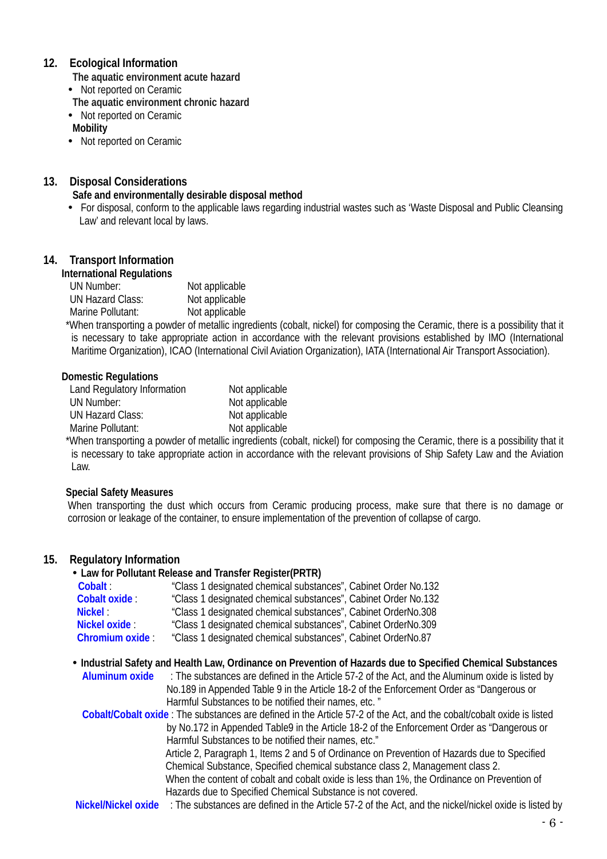## **12. Ecological Information**

**The aquatic environment acute hazard**

- Not reported on Ceramic
- **The aquatic environment chronic hazard**
- Not reported on Ceramic

**Mobility**

• Not reported on Ceramic

## **13. Disposal Considerations**

#### **Safe and environmentally desirable disposal method**

 For disposal, conform to the applicable laws regarding industrial wastes such as 'Waste Disposal and Public Cleansing Law' and relevant local by laws.

## **14. Transport Information**

#### **International Regulations**

| UN Number:        | Not applicable |
|-------------------|----------------|
| UN Hazard Class:  | Not applicable |
| Marine Pollutant: | Not applicable |

 \*When transporting a powder of metallic ingredients (cobalt, nickel) for composing the Ceramic, there is a possibility that it is necessary to take appropriate action in accordance with the relevant provisions established by IMO (International Maritime Organization), ICAO (International Civil Aviation Organization), IATA (International Air Transport Association).

#### **Domestic Regulations**

| Land Regulatory Information | Not applicable |
|-----------------------------|----------------|
| UN Number:                  | Not applicable |
| UN Hazard Class:            | Not applicable |
| Marine Pollutant:           | Not applicable |
|                             |                |

 \*When transporting a powder of metallic ingredients (cobalt, nickel) for composing the Ceramic, there is a possibility that it is necessary to take appropriate action in accordance with the relevant provisions of Ship Safety Law and the Aviation Law.

#### **Special Safety Measures**

When transporting the dust which occurs from Ceramic producing process, make sure that there is no damage or corrosion or leakage of the container, to ensure implementation of the prevention of collapse of cargo.

#### **15. Regulatory Information**

#### **Law for Pollutant Release and Transfer Register(PRTR)**

| Cobalt:               | "Class 1 designated chemical substances", Cabinet Order No.132 |
|-----------------------|----------------------------------------------------------------|
| Cobalt oxide:         | "Class 1 designated chemical substances", Cabinet Order No.132 |
| <b>Nickel:</b>        | "Class 1 designated chemical substances", Cabinet OrderNo.308  |
| Nickel oxide:         | "Class 1 designated chemical substances", Cabinet OrderNo.309  |
| <b>Chromium oxide</b> | "Class 1 designated chemical substances", Cabinet OrderNo.87   |

 **Industrial Safety and Health Law, Ordinance on Prevention of Hazards due to Specified Chemical Substances Aluminum oxide** : The substances are defined i[n the Article 57-2 of the Act,](http://www.jniosh.go.jp/icpro/jicosh-old/japanese/country/japan/laws/01_occ/05b.html#lawA57b) and the Aluminum oxide is listed by No.189 in Appended Table 9 in the Article 18-2 of the Enforcement Order as "Dangerous or

Harmful Substances to be notified their names, etc. " **Cobalt/Cobalt oxide** : The substances are defined in the Article 57-2 of the Act, and the cobalt/cobalt oxide is listed by No.172 in Appended Table9 in the Article 18-2 of the Enforcement Order as "Dangerous or Harmful Substances to be notified their names, etc."

Article 2, Paragraph 1, Items 2 and 5 of Ordinance on Prevention of Hazards due to Specified Chemical Substance, Specified chemical substance class 2, Management class 2. When the content of cobalt and cobalt oxide is less than 1%, the Ordinance on Prevention of Hazards due to Specified Chemical Substance is not covered.

**Nickel/Nickel oxide** : The substances are defined in the Article 57-2 of the Act, and the nickel/nickel oxide is listed by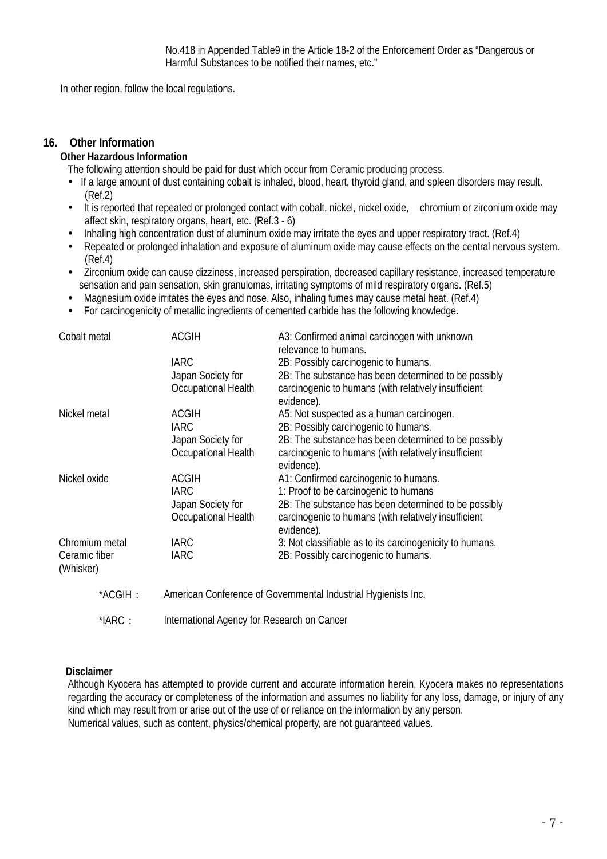In other region, follow the local regulations.

#### **16. Other Information**

#### **Other Hazardous Information**

The following attention should be paid for dust which occur from Ceramic producing process.

- If a large amount of dust containing cobalt is inhaled, blood, heart, thyroid gland, and spleen disorders may result. (Ref.2)
- It is reported that repeated or prolonged contact with cobalt, nickel, nickel oxide, chromium or zirconium oxide may affect skin, respiratory organs, heart, etc. (Ref.3 - 6)
- Inhaling high concentration dust of aluminum oxide may irritate the eyes and upper respiratory tract. (Ref.4)
- Repeated or prolonged inhalation and exposure of aluminum oxide may cause effects on the central nervous system. (Ref.4)
- Zirconium oxide can cause dizziness, increased perspiration, decreased capillary resistance, increased temperature sensation and pain sensation, skin granulomas, irritating symptoms of mild respiratory organs. (Ref.5)
- Magnesium oxide irritates the eyes and nose. Also, inhaling fumes may cause metal heat. (Ref.4)
- For carcinogenicity of metallic ingredients of cemented carbide has the following knowledge.

| Cobalt metal               | <b>ACGIH</b>                                                   | A3: Confirmed animal carcinogen with unknown<br>relevance to humans. |
|----------------------------|----------------------------------------------------------------|----------------------------------------------------------------------|
|                            | <b>IARC</b>                                                    | 2B: Possibly carcinogenic to humans.                                 |
|                            | Japan Society for                                              | 2B: The substance has been determined to be possibly                 |
|                            | Occupational Health                                            | carcinogenic to humans (with relatively insufficient                 |
| Nickel metal               | ACGIH                                                          | evidence).<br>A5: Not suspected as a human carcinogen.               |
|                            | <b>IARC</b>                                                    | 2B: Possibly carcinogenic to humans.                                 |
|                            | Japan Society for                                              | 2B: The substance has been determined to be possibly                 |
|                            | Occupational Health                                            | carcinogenic to humans (with relatively insufficient<br>evidence).   |
| Nickel oxide               | <b>ACGIH</b>                                                   | A1: Confirmed carcinogenic to humans.                                |
|                            | <b>IARC</b>                                                    | 1: Proof to be carcinogenic to humans                                |
|                            | Japan Society for                                              | 2B: The substance has been determined to be possibly                 |
|                            | Occupational Health                                            | carcinogenic to humans (with relatively insufficient<br>evidence).   |
| Chromium metal             | <b>IARC</b>                                                    | 3: Not classifiable as to its carcinogenicity to humans.             |
| Ceramic fiber<br>(Whisker) | <b>IARC</b>                                                    | 2B: Possibly carcinogenic to humans.                                 |
| *ACGIH:                    | American Conference of Governmental Industrial Hygienists Inc. |                                                                      |
| $*IARC:$                   | International Agency for Research on Cancer                    |                                                                      |

#### **Disclaimer**

Although Kyocera has attempted to provide current and accurate information herein, Kyocera makes no representations regarding the accuracy or completeness of the information and assumes no liability for any loss, damage, or injury of any kind which may result from or arise out of the use of or reliance on the information by any person. Numerical values, such as content, physics/chemical property, are not guaranteed values.